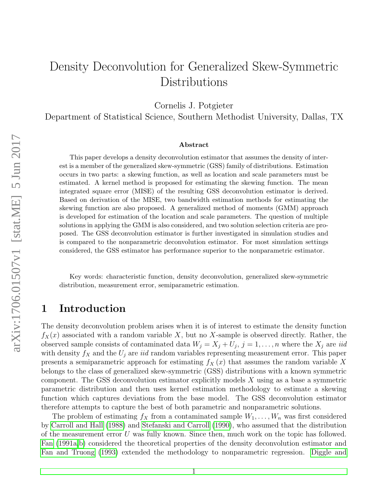# Density Deconvolution for Generalized Skew-Symmetric Distributions

Cornelis J. Potgieter

Department of Statistical Science, Southern Methodist University, Dallas, TX

#### Abstract

This paper develops a density deconvolution estimator that assumes the density of interest is a member of the generalized skew-symmetric (GSS) family of distributions. Estimation occurs in two parts: a skewing function, as well as location and scale parameters must be estimated. A kernel method is proposed for estimating the skewing function. The mean integrated square error (MISE) of the resulting GSS deconvolution estimator is derived. Based on derivation of the MISE, two bandwidth estimation methods for estimating the skewing function are also proposed. A generalized method of moments (GMM) approach is developed for estimation of the location and scale parameters. The question of multiple solutions in applying the GMM is also considered, and two solution selection criteria are proposed. The GSS deconvolution estimator is further investigated in simulation studies and is compared to the nonparametric deconvolution estimator. For most simulation settings considered, the GSS estimator has performance superior to the nonparametric estimator.

Key words: characteristic function, density deconvolution, generalized skew-symmetric distribution, measurement error, semiparametric estimation.

### 1 Introduction

The density deconvolution problem arises when it is of interest to estimate the density function  $f_X(x)$  associated with a random variable X, but no X-sample is observed directly. Rather, the observed sample consists of contaminated data  $W_j = X_j + U_j$ ,  $j = 1, ..., n$  where the  $X_j$  are *iid* with density  $f_X$  and the  $U_j$  are *iid* random variables representing measurement error. This paper presents a semiparametric approach for estimating  $f_X(x)$  that assumes the random variable X belongs to the class of generalized skew-symmetric (GSS) distributions with a known symmetric component. The GSS deconvolution estimator explicitly models  $X$  using as a base a symmetric parametric distribution and then uses kernel estimation methodology to estimate a skewing function which captures deviations from the base model. The GSS deconvolution estimator therefore attempts to capture the best of both parametric and nonparametric solutions.

The problem of estimating  $f_X$  from a contaminated sample  $W_1, \ldots, W_n$  was first considered by [Carroll and Hall](#page-15-0) [\(1988\)](#page-15-0) and [Stefanski and Carroll](#page-16-0) [\(1990\)](#page-16-0), who assumed that the distribution of the measurement error U was fully known. Since then, much work on the topic has followed. [Fan](#page-16-1) [\(1991a](#page-16-1)[,b\)](#page-16-2) considered the theoretical properties of the density deconvolution estimator and [Fan and Truong](#page-16-3) [\(1993\)](#page-16-3) extended the methodology to nonparametric regression. [Diggle and](#page-16-4)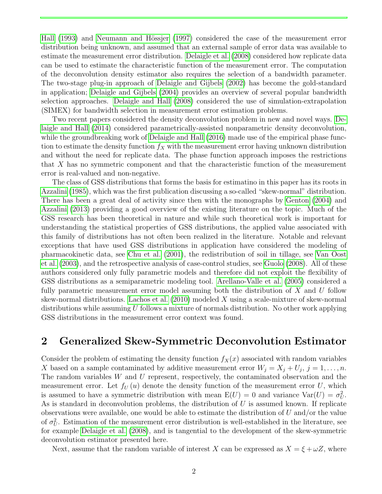[Hall](#page-16-4) [\(1993\)](#page-16-4) and Neumann and Hössjer [\(1997\)](#page-16-5) considered the case of the measurement error distribution being unknown, and assumed that an external sample of error data was available to estimate the measurement error distribution. [Delaigle et al.](#page-16-6) [\(2008\)](#page-16-6) considered how replicate data can be used to estimate the characteristic function of the measurement error. The computation of the deconvolution density estimator also requires the selection of a bandwidth parameter. The two-stage plug-in approach of [Delaigle and Gijbels](#page-15-1) [\(2002\)](#page-15-1) has become the gold-standard in application; [Delaigle and Gijbels](#page-15-2) [\(2004\)](#page-15-2) provides an overview of several popular bandwidth selection approaches. [Delaigle and Hall](#page-15-3) [\(2008\)](#page-15-3) considered the use of simulation-extrapolation (SIMEX) for bandwidth selection in measurement error estimation problems.

Two recent papers considered the density deconvolution problem in new and novel ways. [De](#page-15-4)[laigle and Hall](#page-15-4) [\(2014\)](#page-15-4) considered parametrically-assisted nonparametric density deconvolution, while the groundbreaking work of [Delaigle and Hall](#page-16-7) [\(2016\)](#page-16-7) made use of the empirical phase function to estimate the density function  $f_X$  with the measurement error having unknown distribution and without the need for replicate data. The phase function approach imposes the restrictions that X has no symmetric component and that the characteristic function of the measurement error is real-valued and non-negative.

The class of GSS distributions that forms the basis for estimatino in this paper has its roots in [Azzalini](#page-15-5) [\(1985\)](#page-15-5), which was the first publication discussing a so-called "skew-normal" distribution. There has been a great deal of activity since then with the monographs by [Genton](#page-16-8) [\(2004\)](#page-16-8) and [Azzalini](#page-15-6) [\(2013\)](#page-15-6) providing a good overview of the existing literature on the topic. Much of the GSS research has been theoretical in nature and while such theoretical work is important for understanding the statistical properties of GSS distributions, the applied value associated with this family of distributions has not often been realized in the literature. Notable and relevant exceptions that have used GSS distributions in application have considered the modeling of pharmacokinetic data, see [Chu et al.](#page-15-7) [\(2001\)](#page-15-7), the redistribution of soil in tillage, see [Van Oost](#page-16-9) [et al.](#page-16-9) [\(2003\)](#page-16-9), and the retrospective analysis of case-control studies, see [Guolo](#page-16-10) [\(2008\)](#page-16-10). All of these authors considered only fully parametric models and therefore did not exploit the flexibility of GSS distributions as a semiparametric modeling tool. [Arellano-Valle et al.](#page-15-8) [\(2005\)](#page-15-8) considered a fully parametric measurement error model assuming both the distribution of  $X$  and  $U$  follow skew-normal distributions. [Lachos et al.](#page-16-11) [\(2010\)](#page-16-11) modeled X using a scale-mixture of skew-normal distributions while assuming  $U$  follows a mixture of normals distribution. No other work applying GSS distributions in the measurement error context was found.

### 2 Generalized Skew-Symmetric Deconvolution Estimator

Consider the problem of estimating the density function  $f_X(x)$  associated with random variables X based on a sample contaminated by additive measurement error  $W_j = X_j + U_j$ ,  $j = 1, ..., n$ . The random variables W and U represent, respectively, the contaminated observation and the measurement error. Let  $f_U(u)$  denote the density function of the measurement error U, which is assumed to have a symmetric distribution with mean  $E(U) = 0$  and variance  $Var(U) = \sigma_U^2$ . As is standard in deconvolution problems, the distribution of  $U$  is assumed known. If replicate observations were available, one would be able to estimate the distribution of  $U$  and/or the value of  $\sigma_U^2$ . Estimation of the measurement error distribution is well-established in the literature, see for example [Delaigle et al.](#page-16-6) [\(2008\)](#page-16-6), and is tangential to the development of the skew-symmetric deconvolution estimator presented here.

Next, assume that the random variable of interest X can be expressed as  $X = \xi + \omega Z$ , where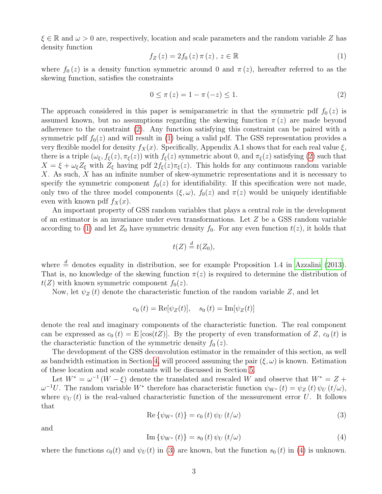$\xi \in \mathbb{R}$  and  $\omega > 0$  are, respectively, location and scale parameters and the random variable Z has density function

<span id="page-2-1"></span>
$$
f_Z(z) = 2f_0(z)\,\pi(z)\,,\,z \in \mathbb{R}
$$
 (1)

where  $f_0(z)$  is a density function symmetric around 0 and  $\pi(z)$ , hereafter referred to as the skewing function, satisfies the constraints

<span id="page-2-0"></span>
$$
0 \le \pi(z) = 1 - \pi(-z) \le 1. \tag{2}
$$

The approach considered in this paper is semiparametric in that the symmetric pdf  $f_0(z)$  is assumed known, but no assumptions regarding the skewing function  $\pi(z)$  are made beyond adherence to the constraint [\(2\)](#page-2-0). Any function satisfying this constraint can be paired with a symmetric pdf  $f_0(z)$  and will result in [\(1\)](#page-2-1) being a valid pdf. The GSS representation provides a very flexible model for density  $f_X(x)$ . Specifically, Appendix A.1 shows that for each real value  $\xi$ , there is a triple  $(\omega_{\xi}, f_{\xi}(z), \pi_{\xi}(z))$  with  $f_{\xi}(z)$  symmetric about 0, and  $\pi_{\xi}(z)$  satisfying [\(2\)](#page-2-0) such that  $X = \xi + \omega_{\xi} Z_{\xi}$  with  $Z_{\xi}$  having pdf  $2f_{\xi}(z)\pi_{\xi}(z)$ . This holds for any continuous random variable X. As such, X has an infinite number of skew-symmetric representations and it is necessary to specify the symmetric component  $f_0(z)$  for identifiability. If this specification were not made, only two of the three model components  $(\xi, \omega)$ ,  $f_0(z)$  and  $\pi(z)$  would be uniquely identifiable even with known pdf  $f_X(x)$ .

An important property of GSS random variables that plays a central role in the development of an estimator is an invariance under even transformations. Let Z be a GSS random variable according to [\(1\)](#page-2-1) and let  $Z_0$  have symmetric density  $f_0$ . For any even function  $t(z)$ , it holds that

$$
t(Z) \stackrel{d}{=} t(Z_0),
$$

where  $\stackrel{d}{=}$  denotes equality in distribution, see for example Proposition 1.4 in [Azzalini](#page-15-6) [\(2013\)](#page-15-6). That is, no knowledge of the skewing function  $\pi(z)$  is required to determine the distribution of  $t(Z)$  with known symmetric component  $f_0(z)$ .

Now, let  $\psi_Z(t)$  denote the characteristic function of the random variable Z, and let

$$
c_0(t) = \text{Re}[\psi_Z(t)], \quad s_0(t) = \text{Im}[\psi_Z(t)]
$$

denote the real and imaginary components of the characteristic function. The real component can be expressed as  $c_0(t) = E[\cos(tZ)]$ . By the property of even transformation of Z,  $c_0(t)$  is the characteristic function of the symmetric density  $f_0(z)$ .

The development of the GSS deconvolution estimator in the remainder of this section, as well as bandwidth estimation in Section [4,](#page-6-0) will proceed assuming the pair  $(\xi, \omega)$  is known. Estimation of these location and scale constants will be discussed in Section [5.](#page-7-0)

Let  $W^* = \omega^{-1}(W - \xi)$  denote the translated and rescaled W and observe that  $W^* = Z +$  $\omega^{-1}U$ . The random variable W<sup>\*</sup> therefore has characteristic function  $\psi_{W^*}(t) = \psi_Z(t) \psi_U(t/\omega)$ , where  $\psi_U(t)$  is the real-valued characteristic function of the measurement error U. It follows that

<span id="page-2-2"></span>
$$
\operatorname{Re}\left\{\psi_{W^*}\left(t\right)\right\} = c_0\left(t\right)\psi_U\left(t/\omega\right) \tag{3}
$$

and

<span id="page-2-3"></span>
$$
\operatorname{Im}\left\{\psi_{W^*}\left(t\right)\right\} = s_0\left(t\right)\psi_U\left(t/\omega\right) \tag{4}
$$

where the functions  $c_0(t)$  and  $\psi_U(t)$  in [\(3\)](#page-2-2) are known, but the function  $s_0(t)$  in [\(4\)](#page-2-3) is unknown.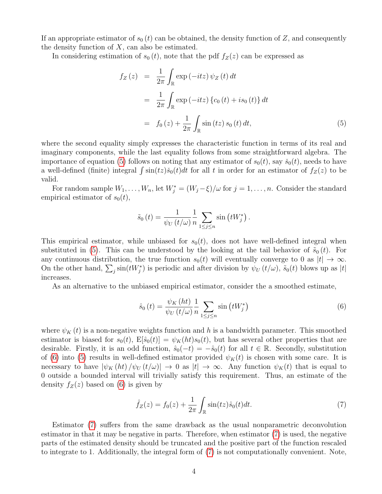If an appropriate estimator of  $s_0(t)$  can be obtained, the density function of Z, and consequently the density function of  $X$ , can also be estimated.

In considering estimation of  $s_0(t)$ , note that the pdf  $f_Z(z)$  can be expressed as

<span id="page-3-0"></span>
$$
f_Z(z) = \frac{1}{2\pi} \int_{\mathbb{R}} \exp(-itz) \psi_Z(t) dt
$$
  
= 
$$
\frac{1}{2\pi} \int_{\mathbb{R}} \exp(-itz) \{c_0(t) + is_0(t)\} dt
$$
  
= 
$$
f_0(z) + \frac{1}{2\pi} \int_{\mathbb{R}} \sin(tz) s_0(t) dt,
$$
 (5)

where the second equality simply expresses the characteristic function in terms of its real and imaginary components, while the last equality follows from some straightforward algebra. The importance of equation [\(5\)](#page-3-0) follows on noting that any estimator of  $s_0(t)$ , say  $\check{s}_0(t)$ , needs to have a well-defined (finite) integral  $\int \sin(tz)\check{s}_0(t)dt$  for all t in order for an estimator of  $f_Z(z)$  to be valid.

For random sample  $W_1, \ldots, W_n$ , let  $W_j^* = (W_j - \xi)/\omega$  for  $j = 1, \ldots, n$ . Consider the standard empirical estimator of  $s_0(t)$ ,

$$
\tilde{s}_0(t) = \frac{1}{\psi_U(t/\omega)} \frac{1}{n} \sum_{1 \le j \le n} \sin(tW_j^*)
$$
.

This empirical estimator, while unbiased for  $s_0(t)$ , does not have well-defined integral when substituted in [\(5\)](#page-3-0). This can be understood by the looking at the tail behavior of  $\tilde{s}_0(t)$ . For any continuous distribution, the true function  $s_0(t)$  will eventually converge to 0 as  $|t| \to \infty$ . On the other hand,  $\sum_j \sin(tW_j^*)$  is periodic and after division by  $\psi_U(t/\omega)$ ,  $\tilde{s}_0(t)$  blows up as |t| increases.

As an alternative to the unbiased empirical estimator, consider the a smoothed estimate,

<span id="page-3-1"></span>
$$
\hat{s}_0(t) = \frac{\psi_K\left(ht\right)}{\psi_U\left(t/\omega\right)} \frac{1}{n} \sum_{1 \le j \le n} \sin\left(tW_j^*\right) \tag{6}
$$

where  $\psi_K(t)$  is a non-negative weights function and h is a bandwidth parameter. This smoothed estimator is biased for  $s_0(t)$ ,  $E[\hat{s}_0(t)] = \psi_K(ht)s_0(t)$ , but has several other properties that are desirable. Firstly, it is an odd function,  $\hat{s}_0(-t) = -\hat{s}_0(t)$  for all  $t \in \mathbb{R}$ . Secondly, substitution of [\(6\)](#page-3-1) into [\(5\)](#page-3-0) results in well-defined estimator provided  $\psi_K(t)$  is chosen with some care. It is necessary to have  $|\psi_K(ht)/\psi_U(t/\omega)| \to 0$  as  $|t| \to \infty$ . Any function  $\psi_K(t)$  that is equal to 0 outside a bounded interval will trivially satisfy this requirement. Thus, an estimate of the density  $f_Z(z)$  based on [\(6\)](#page-3-1) is given by

<span id="page-3-2"></span>
$$
\hat{f}_Z(z) = f_0(z) + \frac{1}{2\pi} \int_{\mathbb{R}} \sin(tz)\hat{s}_0(t)dt.
$$
 (7)

Estimator [\(7\)](#page-3-2) suffers from the same drawback as the usual nonparametric deconvolution estimator in that it may be negative in parts. Therefore, when estimator [\(7\)](#page-3-2) is used, the negative parts of the estimated density should be truncated and the positive part of the function rescaled to integrate to 1. Additionally, the integral form of [\(7\)](#page-3-2) is not computationally convenient. Note,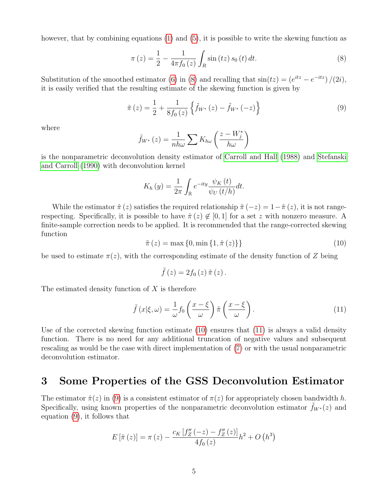however, that by combining equations [\(1\)](#page-2-1) and [\(5\)](#page-3-0), it is possible to write the skewing function as

<span id="page-4-0"></span>
$$
\pi(z) = \frac{1}{2} - \frac{1}{4\pi f_0(z)} \int_R \sin(tz) s_0(t) dt.
$$
 (8)

Substitution of the smoothed estimator [\(6\)](#page-3-1) in [\(8\)](#page-4-0) and recalling that  $sin(tz) = (e^{itz} - e^{-itz})/(2i)$ , it is easily verified that the resulting estimate of the skewing function is given by

<span id="page-4-3"></span>
$$
\hat{\pi}(z) = \frac{1}{2} + \frac{1}{8f_0(z)} \left\{ \tilde{f}_{W^*}(z) - \tilde{f}_{W^*}(-z) \right\}
$$
\n(9)

where

$$
\tilde{f}_{W^*}\left(z\right) = \frac{1}{nh\omega} \sum K_{h\omega} \left(\frac{z - W_j^*}{h\omega}\right)
$$

is the nonparametric deconvolution density estimator of [Carroll and Hall](#page-15-0) [\(1988\)](#page-15-0) and [Stefanski](#page-16-0) [and Carroll](#page-16-0) [\(1990\)](#page-16-0) with deconvolution kernel

$$
K_h(y) = \frac{1}{2\pi} \int_{\mathbb{R}} e^{-ity} \frac{\psi_K(t)}{\psi_U(t/h)} dt.
$$

While the estimator  $\hat{\pi}(z)$  satisfies the required relationship  $\hat{\pi}(-z) = 1-\hat{\pi}(z)$ , it is not rangerespecting. Specifically, it is possible to have  $\hat{\pi}(z) \notin [0,1]$  for a set z with nonzero measure. A finite-sample correction needs to be applied. It is recommended that the range-corrected skewing function

<span id="page-4-1"></span> $\tilde{\pi}(z) = \max\{0, \min\{1, \hat{\pi}(z)\}\}\$  (10)

be used to estimate  $\pi(z)$ , with the corresponding estimate of the density function of Z being

$$
\tilde{f}\left(z\right)=2f_{0}\left(z\right)\tilde{\pi}\left(z\right).
$$

The estimated density function of  $X$  is therefore

<span id="page-4-2"></span>
$$
\tilde{f}(x|\xi,\omega) = \frac{1}{\omega} f_0\left(\frac{x-\xi}{\omega}\right) \tilde{\pi}\left(\frac{x-\xi}{\omega}\right). \tag{11}
$$

Use of the corrected skewing function estimate [\(10\)](#page-4-1) ensures that [\(11\)](#page-4-2) is always a valid density function. There is no need for any additional truncation of negative values and subsequent rescaling as would be the case with direct implementation of [\(7\)](#page-3-2) or with the usual nonparametric deconvolution estimator.

### 3 Some Properties of the GSS Deconvolution Estimator

The estimator  $\hat{\pi}(z)$  in [\(9\)](#page-4-3) is a consistent estimator of  $\pi(z)$  for appropriately chosen bandwidth h. Specifically, using known properties of the nonparametric deconvolution estimator  $f_{W^*}(z)$  and equation [\(9\)](#page-4-3), it follows that

$$
E\left[\hat{\pi}\left(z\right)\right] = \pi\left(z\right) - \frac{c_K \left[f_Z''\left(-z\right) - f_Z''\left(z\right)\right]}{4f_0\left(z\right)}h^2 + O\left(h^3\right)
$$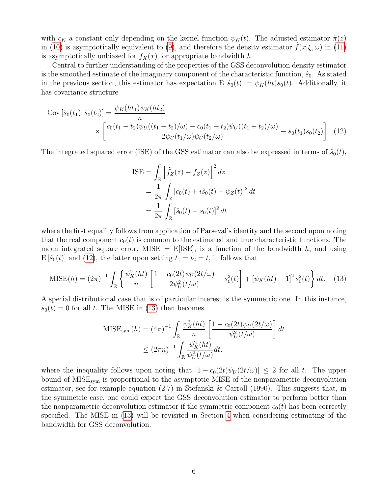with  $c_K$  a constant only depending on the kernel function  $\psi_K(t)$ . The adjusted estimator  $\tilde{\pi}(z)$ in [\(10\)](#page-4-1) is asymptotically equivalent to [\(9\)](#page-4-3), and therefore the density estimator  $f(x|\xi,\omega)$  in [\(11\)](#page-4-2) is asymptotically unbiased for  $f_X(x)$  for appropriate bandwidth h.

Central to further understanding of the properties of the GSS deconvolution density estimator is the smoothed estimate of the imaginary component of the characteristic function,  $\hat{s}_0$ . As stated in the previous section, this estimator has expectation  $E[\hat{s}_0(t)] = \psi_K(ht)s_0(t)$ . Additionally, it has covariance structure

$$
\text{Cov}\left[\hat{s}_0(t_1), \hat{s}_0(t_2)\right] = \frac{\psi_K(ht_1)\psi_K(ht_2)}{n} \times \left[\frac{c_0(t_1 - t_2)\psi_U((t_1 - t_2)/\omega) - c_0(t_1 + t_2)\psi_U((t_1 + t_2)/\omega)}{2\psi_U(t_1/\omega)\psi_U(t_2/\omega)} - s_0(t_1)s_0(t_2)\right] \tag{12}
$$

The integrated squared error (ISE) of the GSS estimator can also be expressed in terms of  $\hat{s}_0(t)$ ,

<span id="page-5-0"></span>
$$
ISE = \int_{\mathbb{R}} \left[ \tilde{f}_Z(z) - f_Z(z) \right]^2 dz
$$
  
= 
$$
\frac{1}{2\pi} \int_{\mathbb{R}} |c_0(t) + i\hat{s}_0(t) - \psi_Z(t)|^2 dt
$$
  
= 
$$
\frac{1}{2\pi} \int_{\mathbb{R}} [\hat{s}_0(t) - s_0(t)]^2 dt
$$

where the first equality follows from application of Parseval's identity and the second upon noting that the real component  $c_0(t)$  is common to the estimated and true characteristic functions. The mean integrated square error, MISE  $=$  E|ISE|, is a function of the bandwidth h, and using  $E[\hat{s}_0(t)]$  and [\(12\)](#page-5-0), the latter upon setting  $t_1 = t_2 = t$ , it follows that

<span id="page-5-1"></span>
$$
\text{MISE}(h) = (2\pi)^{-1} \int_{\mathbb{R}} \left\{ \frac{\psi_K^2(ht)}{n} \left[ \frac{1 - c_0(2t)\psi_U(2t/\omega)}{2\psi_U^2(t/\omega)} - s_0^2(t) \right] + \left[ \psi_K(ht) - 1 \right]^2 s_0^2(t) \right\} dt. \tag{13}
$$

A special distributional case that is of particular interest is the symmetric one. In this instance,  $s_0(t) = 0$  for all t. The MISE in [\(13\)](#page-5-1) then becomes

$$
\begin{aligned} \text{MISE}_{\text{sym}}(h) &= (4\pi)^{-1} \int_{\mathbb{R}} \frac{\psi_K^2(ht)}{n} \left[ \frac{1 - c_0(2t)\psi_U(2t/\omega)}{\psi_U^2(t/\omega)} \right] dt \\ &\le (2\pi n)^{-1} \int_{\mathbb{R}} \frac{\psi_K^2(ht)}{\psi_U^2(t/\omega)} dt. \end{aligned}
$$

where the inequality follows upon noting that  $|1 - c_0(2t)\psi_U(2t/\omega)| \leq 2$  for all t. The upper bound of MISE<sub>sym</sub> is proportional to the asymptotic MISE of the nonparametric deconvolution estimator, see for example equation (2.7) in Stefanski & Carroll (1990). This suggests that, in the symmetric case, one could expect the GSS deconvolution estimator to perform better than the nonparametric deconvolution estimator if the symmetric component  $c_0(t)$  has been correctly specified. The MISE in [\(13\)](#page-5-1) will be revisited in Section [4](#page-6-0) when considering estimating of the bandwidth for GSS deconvolution.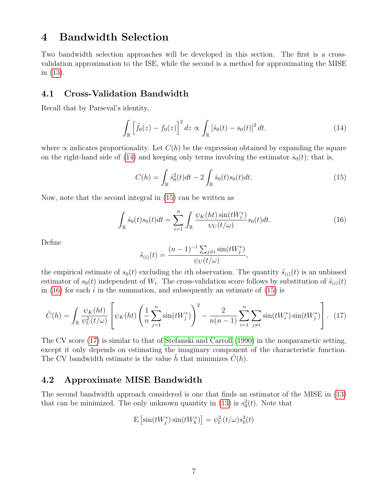## <span id="page-6-0"></span>4 Bandwidth Selection

Two bandwidth selection approaches will be developed in this section. The first is a crossvalidation approximation to the ISE, while the second is a method for approximating the MISE in [\(13\)](#page-5-1).

### 4.1 Cross-Validation Bandwidth

Recall that by Parseval's identity,

<span id="page-6-1"></span>
$$
\int_{\mathbb{R}} \left[ \tilde{f}_0(z) - f_0(z) \right]^2 dz \propto \int_{\mathbb{R}} \left[ \hat{s}_0(t) - s_0(t) \right]^2 dt.
$$
 (14)

where  $\propto$  indicates proportionality. Let  $C(h)$  be the expression obtained by expanding the square on the right-hand side of [\(14\)](#page-6-1) and keeping only terms involving the estimator  $\hat{s}_0(t)$ ; that is,

<span id="page-6-2"></span>
$$
C(h) = \int_{\mathbb{R}} \hat{s}_0^2(t)dt - 2 \int_{\mathbb{R}} \hat{s}_0(t)s_0(t)dt.
$$
 (15)

Now, note that the second integral in [\(15\)](#page-6-2) can be written as

<span id="page-6-3"></span>
$$
\int_{\mathbb{R}} \hat{s}_0(t)s_0(t)dt = \sum_{i=1}^n \int_{\mathbb{R}} \frac{\psi_K(ht)\sin(tW_i^*)}{\psi_U(t/\omega)} s_0(t)dt.
$$
\n(16)

Define

$$
\tilde{s}_{(i)}(t) = \frac{(n-1)^{-1} \sum_{j \neq i} \sin(tW_j^*)}{\psi_U(t/\omega)},
$$

the empirical estimate of  $s_0(t)$  excluding the *i*th observation. The quantity  $\tilde{s}_{(i)}(t)$  is an unbiased estimator of  $s_0(t)$  independent of  $W_i$ . The cross-validation score follows by substitution of  $\tilde{s}_{(i)}(t)$ in [\(16\)](#page-6-3) for each i in the summation, and subsequently an estimate of [\(15\)](#page-6-2) is

<span id="page-6-4"></span>
$$
\hat{C}(h) = \int_{\mathbb{R}} \frac{\psi_K(ht)}{\psi_U^2(t/\omega)} \left[ \psi_K(ht) \left( \frac{1}{n} \sum_{j=1}^n \sin(tW_j^*) \right)^2 - \frac{2}{n(n-1)} \sum_{i=1}^n \sum_{j \neq i} \sin(tW_i^*) \sin(tW_j^*) \right]. \tag{17}
$$

The CV score [\(17\)](#page-6-4) is similar to that of [Stefanski and Carroll](#page-16-0) [\(1990\)](#page-16-0) in the nonparametic setting, except it only depends on estimating the imaginary component of the characteristic function. The CV bandwidth estimate is the value h that minimizes  $\tilde{C}(h)$ .

### 4.2 Approximate MISE Bandwidth

The second bandwidth approach considered is one that finds an estimator of the MISE in [\(13\)](#page-5-1) that can be minimized. The only unknown quantity in [\(13\)](#page-5-1) is  $s_0^2(t)$ . Note that

$$
E\left[\sin(tW_j^*)\sin(tW_k^*)\right] = \psi_U^2(t/\omega)s_0^2(t)
$$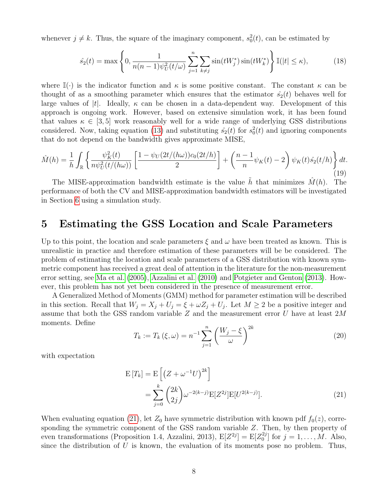whenever  $j \neq k$ . Thus, the square of the imaginary component,  $s_0^2(t)$ , can be estimated by

$$
\hat{s}_2(t) = \max\left\{0, \frac{1}{n(n-1)\psi_U^2(t/\omega)} \sum_{j=1}^n \sum_{k \neq j} \sin(tW_j^*) \sin(tW_k^*)\right\} \mathbb{I}(|t| \leq \kappa),\tag{18}
$$

where  $\mathbb{I}(\cdot)$  is the indicator function and  $\kappa$  is some positive constant. The constant  $\kappa$  can be thought of as a smoothing parameter which ensures that the estimator  $\hat{s}_2(t)$  behaves well for large values of |t|. Ideally,  $\kappa$  can be chosen in a data-dependent way. Development of this approach is ongoing work. However, based on extensive simulation work, it has been found that values  $\kappa \in [3, 5]$  work reasonably well for a wide range of underlying GSS distributions considered. Now, taking equation [\(13\)](#page-5-1) and substituting  $\hat{s}_2(t)$  for  $s_0^2(t)$  and ignoring components that do not depend on the bandwidth gives approximate MISE,

$$
\hat{M}(h) = \frac{1}{h} \int_{\mathbb{R}} \left\{ \frac{\psi_K^2(t)}{n\psi_U^2(t/(h\omega))} \left[ \frac{1 - \psi_U(2t/(h\omega))c_0(2t/h)}{2} \right] + \left( \frac{n-1}{n} \psi_K(t) - 2 \right) \psi_K(t) \hat{s}_2(t/h) \right\} dt.
$$
\n(19)

The MISE-approximation bandwidth estimate is the value  $\tilde{h}$  that minimizes  $\tilde{M}(h)$ . The performance of both the CV and MISE-approximation bandwidth estimators will be investigated in Section [6](#page-10-0) using a simulation study.

## <span id="page-7-0"></span>5 Estimating the GSS Location and Scale Parameters

Up to this point, the location and scale parameters  $\xi$  and  $\omega$  have been treated as known. This is unrealistic in practice and therefore estimation of these parameters will be be considered. The problem of estimating the location and scale parameters of a GSS distribution with known symmetric component has received a great deal of attention in the literature for the non-measurement error setting, see [Ma et al.](#page-16-12) [\(2005\)](#page-16-12), [Azzalini et al.](#page-15-9) [\(2010\)](#page-15-9) and [Potgieter and Genton](#page-16-13) [\(2013\)](#page-16-13). However, this problem has not yet been considered in the presence of measurement error.

A Generalized Method of Moments (GMM) method for parameter estimation will be described in this section. Recall that  $W_j = X_j + U_j = \xi + \omega Z_j + U_j$ . Let  $M \geq 2$  be a positive integer and assume that both the GSS random variable Z and the measurement error U have at least  $2M$ moments. Define

<span id="page-7-1"></span>
$$
T_k := T_k(\xi, \omega) = n^{-1} \sum_{j=1}^n \left( \frac{W_j - \xi}{\omega} \right)^{2k}
$$
\n(20)

with expectation

$$
E[T_k] = E\left[ (Z + \omega^{-1} U)^{2k} \right]
$$
  
= 
$$
\sum_{j=0}^{k} {2k \choose 2j} \omega^{-2(k-j)} E[Z^{2j}] E[U^{2(k-j)}].
$$
 (21)

When evaluating equation [\(21\)](#page-7-1), let  $Z_0$  have symmetric distribution with known pdf  $f_0(z)$ , corresponding the symmetric component of the GSS random variable Z. Then, by then property of even transformations (Proposition 1.4, Azzalini, 2013),  $E[Z^{2j}] = E[Z_0^{2j}]$  $j_{0}^{2j}$  for  $j = 1, ..., M$ . Also, since the distribution of  $U$  is known, the evaluation of its moments pose no problem. Thus,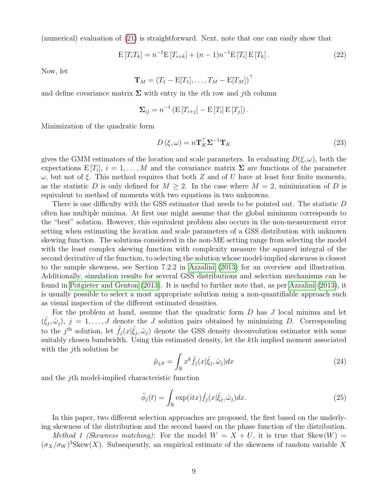(numerical) evaluation of [\(21\)](#page-7-1) is straightforward. Next, note that one can easily show that

$$
E[T_iT_k] = n^{-1}E[T_{i+k}] + (n-1)n^{-1}E[T_i]E[T_k].
$$
\n(22)

Now, let

$$
\mathbf{T}_M = (T_1 - \mathrm{E}[T_1], \ldots, T_M - \mathrm{E}[T_M])^{\top}
$$

and define covariance matrix  $\Sigma$  with entry in the *i*th row and *j*th column

$$
\Sigma_{ij} = n^{-1} \left( \mathrm{E} \left[ T_{i+j} \right] - \mathrm{E} \left[ T_i \right] \mathrm{E} \left[ T_j \right] \right).
$$

Minimization of the quadratic form

<span id="page-8-2"></span>
$$
D\left(\xi,\omega\right) = n\mathbf{T}_{K}^{\top}\mathbf{\Sigma}^{-1}\mathbf{T}_{K}
$$
\n<sup>(23)</sup>

gives the GMM estimators of the location and scale parameters. In evaluating  $D(\xi,\omega)$ , both the expectations  $E[T_i], i = 1, \ldots, M$  and the covariance matrix  $\Sigma$  are functions of the parameter  $ω$ , but not of ξ. This method requires that both Z and of U have at least four finite moments, as the statistic D is only defined for  $M \geq 2$ . In the case where  $M = 2$ , minimization of D is equivalent to method of moments with two equations in two unknowns.

There is one difficulty with the GSS estimator that needs to be pointed out. The statistic D often has multiple minima. At first one might assume that the global minimum corresponds to the "best" solution. However, this equivalent problem also occurs in the non-measurement error setting when estimating the location and scale parameters of a GSS distribution with unknown skewing function. The solutions considered in the non-ME setting range from selecting the model with the least complex skewing function with complexity measure the squared integral of the second derivative of the function, to selecting the solution whose model-implied skewness is closest to the sample skewness, see Section 7.2.2 in [Azzalini](#page-15-6) [\(2013\)](#page-15-6) for an overview and illustration. Additionally, simulation results for several GSS distributions and selection mechanisms can be found in [Potgieter and Genton](#page-16-13) [\(2013\)](#page-16-13). It is useful to further note that, as per [Azzalini](#page-15-6) [\(2013\)](#page-15-6), it is usually possible to select a most appropriate solution using a non-quantifiable approach such as visual inspection of the different estimated densities.

For the problem at hand, assume that the quadratic form  $D$  has  $J$  local minima and let  $(\hat{\xi}_j, \hat{\omega}_j), j = 1, \ldots, J$  denote the J solution pairs obtained by minimizing D. Corresponding to the j<sup>th</sup> solution, let  $\tilde{f}_j(x|\hat{\xi}_j, \hat{\omega}_j)$  denote the GSS density deconvolution estimator with some suitably chosen bandwidth. Using this estimated density, let the kth implied moment associated with the *j*th solution be

<span id="page-8-0"></span>
$$
\tilde{\mu}_{j,k} = \int_{\mathbb{R}} x^k \tilde{f}_j(x|\hat{\xi}_j, \hat{\omega}_j) dx
$$
\n(24)

and the jth model-implied characteristic function

<span id="page-8-1"></span>
$$
\tilde{\phi}_j(t) = \int_{\mathbb{R}} \exp(itx) \tilde{f}_j(x|\hat{\xi}_j, \hat{\omega}_j) dx.
$$
\n(25)

In this paper, two different selection approaches are proposed, the first based on the underlying skewness of the distribution and the second based on the phase function of the distribution.

Method 1 (Skewness matching): For the model  $W = X + U$ , it is true that Skew $(W)$  =  $(\sigma_X/\sigma_W)^3$ Skew $(X)$ . Subsequently, an empirical estimate of the skewness of random variable X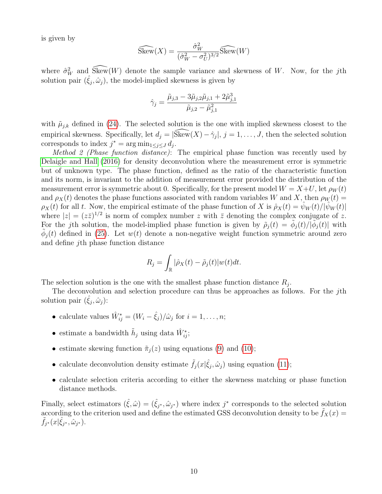is given by

$$
\widehat{\text{Skew}}(X) = \frac{\hat{\sigma}_W^2}{(\hat{\sigma}_W^2 - \sigma_U^2)^{3/2}} \widehat{\text{Skew}}(W)
$$

where  $\hat{\sigma}_W^2$  and  $\widehat{\text{Skew}}(W)$  denote the sample variance and skewness of W. Now, for the jth solution pair  $(\hat{\xi}_j, \hat{\omega}_j)$ , the model-implied skewness is given by

$$
\hat{\gamma}_j = \frac{\tilde{\mu}_{j,3} - 3\tilde{\mu}_{j,2}\tilde{\mu}_{j,1} + 2\tilde{\mu}_{j,1}^3}{\tilde{\mu}_{j,2} - \tilde{\mu}_{j,1}^2}
$$

with  $\tilde{\mu}_{j,k}$  defined in [\(24\)](#page-8-0). The selected solution is the one with implied skewness closest to the empirical skewness. Specifically, let  $d_j = |\widehat{\text{Skew}}(X) - \hat{\gamma}_j|, j = 1, \ldots, J$ , then the selected solution corresponds to index  $j^* = \arg \min_{1 \leq j \leq J} d_j$ .

Method 2 (Phase function distance): The empirical phase function was recently used by [Delaigle and Hall](#page-16-7) [\(2016\)](#page-16-7) for density deconvolution where the measurement error is symmetric but of unknown type. The phase function, defined as the ratio of the characteristic function and its norm, is invariant to the addition of measurement error provided the distribution of the measurement error is symmetric about 0. Specifically, for the present model  $W = X+U$ , let  $\rho_W(t)$ and  $\rho_X(t)$  denotes the phase functions associated with random variables W and X, then  $\rho_W(t)$  =  $\rho_X(t)$  for all t. Now, the empirical estimate of the phase function of X is  $\hat{\rho}_X(t) = \hat{\psi}_W(t)/|\hat{\psi}_W(t)|$ where  $|z| = (z\bar{z})^{1/2}$  is norm of complex number z with  $\bar{z}$  denoting the complex conjugate of z. For the jth solution, the model-implied phase function is given by  $\tilde{\rho}_j(t) = \tilde{\phi}_j(t)/|\tilde{\phi}_j(t)|$  with  $\tilde{\phi}_j(t)$  defined in [\(25\)](#page-8-1). Let  $w(t)$  denote a non-negative weight function symmetric around zero and define jth phase function distance

$$
R_j = \int_{\mathbb{R}} |\hat{\rho}_X(t) - \tilde{\rho}_j(t)| w(t) dt.
$$

The selection solution is the one with the smallest phase function distance  $R_j$ .

The deconvolution and selection procedure can thus be approaches as follows. For the jth solution pair  $(\hat{\xi}_j, \hat{\omega}_j)$ :

- calculate values  $\hat{W}_{ij}^* = (W_i \hat{\xi}_j)/\hat{\omega}_j$  for  $i = 1, \ldots, n;$
- estimate a bandwidth  $\tilde{h}_j$  using data  $\hat{W}_{ij}^*$ ;
- estimate skewing function  $\tilde{\pi}_i(z)$  using equations [\(9\)](#page-4-3) and [\(10\)](#page-4-1);
- calculate deconvolution density estimate  $\tilde{f}_j(x|\hat{\xi}_j, \hat{\omega}_j)$  using equation [\(11\)](#page-4-2);
- calculate selection criteria according to either the skewness matching or phase function distance methods.

Finally, select estimators  $(\hat{\xi}, \hat{\omega}) = (\hat{\xi}_{j^*}, \hat{\omega}_{j^*})$  where index  $j^*$  corresponds to the selected solution according to the criterion used and define the estimated GSS deconvolution density to be  $f_X(x) =$  $\widetilde{f}_{j^*}(x|\hat{\xi}_{j^*}, \omega_{j^*}).$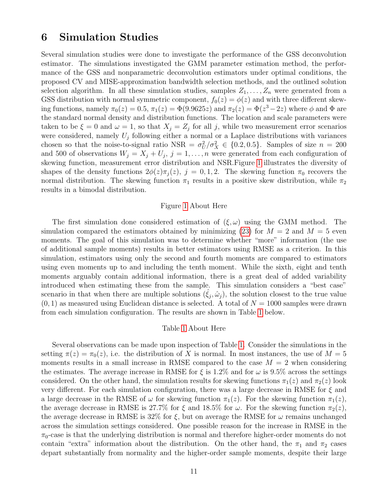### <span id="page-10-0"></span>6 Simulation Studies

Several simulation studies were done to investigate the performance of the GSS deconvolution estimator. The simulations investigated the GMM parameter estimation method, the performance of the GSS and nonparametric deconvolution estimators under optimal conditions, the proposed CV and MISE-approximation bandwidth selection methods, and the outlined solution selection algorithm. In all these simulation studies, samples  $Z_1, \ldots, Z_n$  were generated from a GSS distribution with normal symmetric component,  $f_0(z) = \phi(z)$  and with three different skewing functions, namely  $\pi_0(z) = 0.5$ ,  $\pi_1(z) = \Phi(9.9625z)$  and  $\pi_2(z) = \Phi(z^3 - 2z)$  where  $\phi$  and  $\Phi$  are the standard normal density and distribution functions. The location and scale parameters were taken to be  $\xi = 0$  and  $\omega = 1$ , so that  $X_j = Z_j$  for all j, while two measurement error scenarios were considered, namely  $U_j$  following either a normal or a Laplace distributions with variances chosen so that the noise-to-signal ratio NSR =  $\sigma_U^2/\sigma_X^2 \in \{0.2, 0.5\}$ . Samples of size  $n = 200$ and 500 of observations  $W_j = X_j + U_j$ ,  $j = 1, ..., n$  were generated from each configuration of skewing function, measurement error distribution and NSR.Figure [1](#page-17-0) illustrates the diversity of shapes of the density functions  $2\phi(z)\pi_j(z)$ ,  $j = 0, 1, 2$ . The skewing function  $\pi_0$  recovers the normal distribution. The skewing function  $\pi_1$  results in a positive skew distribution, while  $\pi_2$ results in a bimodal distribution.

#### Figure [1](#page-17-0) About Here

The first simulation done considered estimation of  $(\xi, \omega)$  using the GMM method. The simulation compared the estimators obtained by minimizing [\(23\)](#page-8-2) for  $M = 2$  and  $M = 5$  even moments. The goal of this simulation was to determine whether "more" information (the use of additional sample moments) results in better estimators using RMSE as a criterion. In this simulation, estimators using only the second and fourth moments are compared to estimators using even moments up to and including the tenth moment. While the sixth, eight and tenth moments arguably contain additional information, there is a great deal of added variability introduced when estimating these from the sample. This simulation considers a "best case" scenario in that when there are multiple solutions  $(\hat{\xi}_j, \hat{\omega}_j)$ , the solution closest to the true value  $(0, 1)$  as measured using Euclidean distance is selected. A total of  $N = 1000$  samples were drawn from each simulation configuration. The results are shown in Table [1](#page-18-0) below.

#### Table [1](#page-18-0) About Here

Several observations can be made upon inspection of Table [1.](#page-18-0) Consider the simulations in the setting  $\pi(z) = \pi_0(z)$ , i.e. the distribution of X is normal. In most instances, the use of  $M = 5$ moments results in a small increase in RMSE compared to the case  $M = 2$  when considering the estimates. The average increase in RMSE for  $\xi$  is 1.2% and for  $\omega$  is 9.5% across the settings considered. On the other hand, the simulation results for skewing functions  $\pi_1(z)$  and  $\pi_2(z)$  look very different. For each simulation configuration, there was a large decrease in RMSE for  $\xi$  and a large decrease in the RMSE of  $\omega$  for skewing function  $\pi_1(z)$ . For the skewing function  $\pi_1(z)$ , the average decrease in RMSE is 27.7% for  $\xi$  and 18.5% for  $\omega$ . For the skewing function  $\pi_2(z)$ , the average decrease in RMSE is 32% for  $\xi$ , but on average the RMSE for  $\omega$  remains unchanged across the simulation settings considered. One possible reason for the increase in RMSE in the  $\pi_0$ -case is that the underlying distribution is normal and therefore higher-order moments do not contain "extra" information about the distribution. On the other hand, the  $\pi_1$  and  $\pi_2$  cases depart substantially from normality and the higher-order sample moments, despite their large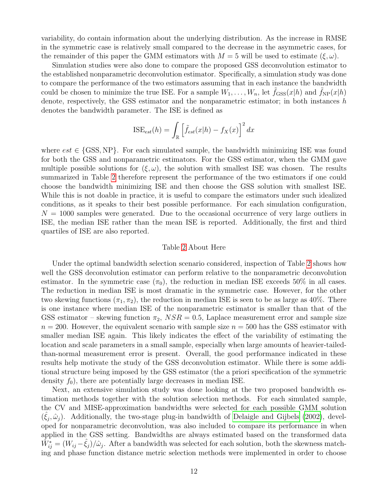variability, do contain information about the underlying distribution. As the increase in RMSE in the symmetric case is relatively small compared to the decrease in the asymmetric cases, for the remainder of this paper the GMM estimators with  $M = 5$  will be used to estimate  $(\xi, \omega)$ .

Simulation studies were also done to compare the proposed GSS deconvolution estimator to the established nonparametric deconvolution estimator. Specifically, a simulation study was done to compare the performance of the two estimators assuming that in each instance the bandwidth could be chosen to minimize the true ISE. For a sample  $W_1, \ldots, W_n$ , let  $\tilde{f}_{\text{GSS}}(x|h)$  and  $\tilde{f}_{\text{NP}}(x|h)$ denote, respectively, the GSS estimator and the nonparametric estimator; in both instances  $h$ denotes the bandwidth parameter. The ISE is defined as

$$
\text{ISE}_{est}(h) = \int_{\mathbb{R}} \left[ \tilde{f}_{est}(x|h) - f_X(x) \right]^2 dx
$$

where  $est \in \{GSS, NP\}$ . For each simulated sample, the bandwidth minimizing ISE was found for both the GSS and nonparametric estimators. For the GSS estimator, when the GMM gave multiple possible solutions for  $(\xi, \omega)$ , the solution with smallest ISE was chosen. The results summarized in Table [2](#page-19-0) therefore represent the performance of the two estimators if one could choose the bandwidth minimizing ISE and then choose the GSS solution with smallest ISE. While this is not doable in practice, it is useful to compare the estimators under such idealized conditions, as it speaks to their best possible performance. For each simulation configuration,  $N = 1000$  samples were generated. Due to the occasional occurrence of very large outliers in ISE, the median ISE rather than the mean ISE is reported. Additionally, the first and third quartiles of ISE are also reported.

#### Table [2](#page-19-0) About Here

Under the optimal bandwidth selection scenario considered, inspection of Table [2](#page-19-0) shows how well the GSS deconvolution estimator can perform relative to the nonparametric deconvolution estimator. In the symmetric case  $(\pi_0)$ , the reduction in median ISE exceeds 50% in all cases. The reduction in median ISE is most dramatic in the symmetric case. However, for the other two skewing functions  $(\pi_1, \pi_2)$ , the reduction in median ISE is seen to be as large as 40%. There is one instance where median ISE of the nonparametric estimator is smaller than that of the GSS estimator – skewing function  $\pi_2$ ,  $NSR = 0.5$ , Laplace measurement error and sample size  $n = 200$ . However, the equivalent scenario with sample size  $n = 500$  has the GSS estimator with smaller median ISE again. This likely indicates the effect of the variability of estimating the location and scale parameters in a small sample, especially when large amounts of heavier-tailedthan-normal measurement error is present. Overall, the good performance indicated in these results help motivate the study of the GSS deconvolution estimator. While there is some additional structure being imposed by the GSS estimator (the a priori specification of the symmetric density  $f_0$ , there are potentially large decreases in median ISE.

Next, an extensive simulation study was done looking at the two proposed bandwidth estimation methods together with the solution selection methods. For each simulated sample, the CV and MISE-approximation bandwidths were selected for each possible GMM solution  $(\hat{\xi}_j, \hat{\omega}_j)$ . Additionally, the two-stage plug-in bandwidth of [Delaigle and Gijbels](#page-15-1) [\(2002\)](#page-15-1), developed for nonparametric deconvolution, was also included to compare its performance in when applied in the GSS setting. Bandwidths are always estimated based on the transformed data  $\hat{W}_{ij}^* = (W_{ij} - \hat{\xi}_j)/\hat{\omega}_j$ . After a bandwidth was selected for each solution, both the skewness matching and phase function distance metric selection methods were implemented in order to choose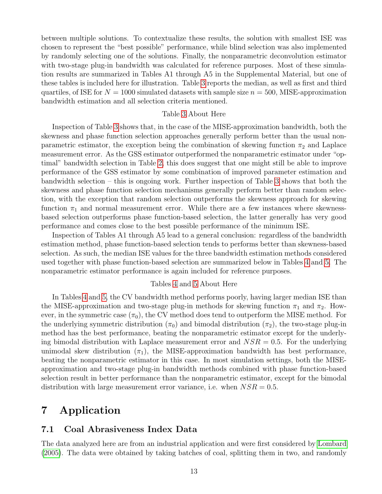between multiple solutions. To contextualize these results, the solution with smallest ISE was chosen to represent the "best possible" performance, while blind selection was also implemented by randomly selecting one of the solutions. Finally, the nonparametric deconvolution estimator with two-stage plug-in bandwidth was calculated for reference purposes. Most of these simulation results are summarized in Tables A1 through A5 in the Supplemental Material, but one of these tables is included here for illustration. Table [3](#page-20-0) reports the median, as well as first and third quartiles, of ISE for  $N = 1000$  simulated datasets with sample size  $n = 500$ , MISE-approximation bandwidth estimation and all selection criteria mentioned.

#### Table [3](#page-20-0) About Here

Inspection of Table [3](#page-20-0) shows that, in the case of the MISE-approximation bandwidth, both the skewness and phase function selection approaches generally perform better than the usual nonparametric estimator, the exception being the combination of skewing function  $\pi_2$  and Laplace measurement error. As the GSS estimator outperformed the nonparametric estimator under "optimal" bandwidth selection in Table [2,](#page-19-0) this does suggest that one might still be able to improve performance of the GSS estimator by some combination of improved parameter estimation and bandwidth selection – this is ongoing work. Further inspection of Table [3](#page-20-0) shows that both the skewness and phase function selection mechanisms generally perform better than random selection, with the exception that random selection outperforms the skewness approach for skewing function  $\pi_1$  and normal measurement error. While there are a few instances where skewnessbased selection outperforms phase function-based selection, the latter generally has very good performance and comes close to the best possible performance of the minimum ISE.

Inspection of Tables A1 through A5 lead to a general conclusion: regardless of the bandwidth estimation method, phase function-based selection tends to performs better than skewness-based selection. As such, the median ISE values for the three bandwidth estimation methods considered used together with phase function-based selection are summarized below in Tables [4](#page-21-0) and [5.](#page-21-1) The nonparametric estimator performance is again included for reference purposes.

#### Tables [4](#page-21-0) and [5](#page-21-1) About Here

In Tables [4](#page-21-0) and [5,](#page-21-1) the CV bandwidth method performs poorly, having larger median ISE than the MISE-approximation and two-stage plug-in methods for skewing function  $\pi_1$  and  $\pi_2$ . However, in the symmetric case  $(\pi_0)$ , the CV method does tend to outperform the MISE method. For the underlying symmetric distribution  $(\pi_0)$  and bimodal distribution  $(\pi_2)$ , the two-stage plug-in method has the best performance, beating the nonparametric estimator except for the underlying bimodal distribution with Laplace measurement error and  $NSR = 0.5$ . For the underlying unimodal skew distribution  $(\pi_1)$ , the MISE-approximation bandwidth has best performance, beating the nonparametric estimator in this case. In most simulation settings, both the MISEapproximation and two-stage plug-in bandwidth methods combined with phase function-based selection result in better performance than the nonparametric estimator, except for the bimodal distribution with large measurement error variance, i.e. when  $NSR = 0.5$ .

## 7 Application

### 7.1 Coal Abrasiveness Index Data

The data analyzed here are from an industrial application and were first considered by [Lombard](#page-16-14) [\(2005\)](#page-16-14). The data were obtained by taking batches of coal, splitting them in two, and randomly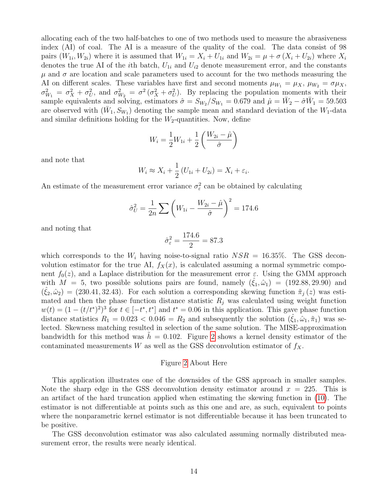allocating each of the two half-batches to one of two methods used to measure the abrasiveness index (AI) of coal. The AI is a measure of the quality of the coal. The data consist of 98 pairs  $(W_{1i}, W_{2i})$  where it is assumed that  $W_{1i} = X_i + U_{1i}$  and  $W_{2i} = \mu + \sigma(X_i + U_{2i})$  where  $X_i$ denotes the true AI of the *i*th batch,  $U_{1i}$  and  $U_{i2}$  denote measurement error, and the constants  $\mu$  and  $\sigma$  are location and scale parameters used to account for the two methods measuring the AI on different scales. These variables have first and second moments  $\mu_{W_1} = \mu_X$ ,  $\mu_{W_2} = \sigma \mu_X$ ,  $\sigma_{W_1}^2 = \sigma_X^2 + \sigma_U^2$ , and  $\sigma_{W_2}^2 = \sigma^2 (\sigma_X^2 + \sigma_U^2)$ . By replacing the population moments with their sample equivalents and solving, estimators  $\hat{\sigma} = S_{W_2}/S_{W_1} = 0.679$  and  $\hat{\mu} = \bar{W}_2 - \hat{\sigma}\bar{W}_1 = 59.503$ are observed with  $(\bar{W}_1, S_{W_1})$  denoting the sample mean and standard deviation of the  $W_1$ -data and similar definitions holding for the  $W_2$ -quantities. Now, define

$$
W_i = \frac{1}{2}W_{1i} + \frac{1}{2}\left(\frac{W_{2i} - \hat{\mu}}{\hat{\sigma}}\right)
$$

and note that

$$
W_i \approx X_i + \frac{1}{2} (U_{1i} + U_{2i}) = X_i + \varepsilon_i.
$$

An estimate of the measurement error variance  $\sigma_{\varepsilon}^2$  can be obtained by calculating

$$
\hat{\sigma}_{U}^{2} = \frac{1}{2n} \sum \left( W_{1i} - \frac{W_{2i} - \hat{\mu}}{\hat{\sigma}} \right)^{2} = 174.6
$$

and noting that

$$
\hat{\sigma}_{\varepsilon}^2 = \frac{174.6}{2} = 87.3
$$

which corresponds to the  $W_i$  having noise-to-signal ratio  $NSR = 16.35\%$ . The GSS deconvolution estimator for the true AI,  $f_X(x)$ , is calculated assuming a normal symmetric component  $f_0(z)$ , and a Laplace distribution for the measurement error  $\varepsilon$ . Using the GMM approach with  $M = 5$ , two possible solutions pairs are found, namely  $(\xi_1, \hat{\omega}_1) = (192.88, 29.90)$  and  $(\hat{\xi}_2, \hat{\omega}_2) = (230.41, 32.43)$ . For each solution a corresponding skewing function  $\tilde{\pi}_j(z)$  was estimated and then the phase function distance statistic  $R_j$  was calculated using weight function  $w(t) = (1 - (t/t^*)^2)^3$  for  $t \in [-t^*, t^*]$  and  $t^* = 0.06$  in this application. This gave phase function distance statistics  $R_1 = 0.023 < 0.046 = R_2$  and subsequently the solution  $(\xi_1, \hat{\omega}_1, \tilde{\pi}_1)$  was selected. Skewness matching resulted in selection of the same solution. The MISE-approximation bandwidth for this method was  $h = 0.102$ . Figure [2](#page-17-1) shows a kernel density estimator of the contaminated measurements  $W$  as well as the GSS deconvolution estimator of  $f_X$ .

#### Figure [2](#page-17-1) About Here

This application illustrates one of the downsides of the GSS approach in smaller samples. Note the sharp edge in the GSS deconvolution density estimator around  $x = 225$ . This is an artifact of the hard truncation applied when estimating the skewing function in [\(10\)](#page-4-1). The estimator is not differentiable at points such as this one and are, as such, equivalent to points where the nonparametric kernel estimator is not differentiable because it has been truncated to be positive.

The GSS deconvolution estimator was also calculated assuming normally distributed measurement error, the results were nearly identical.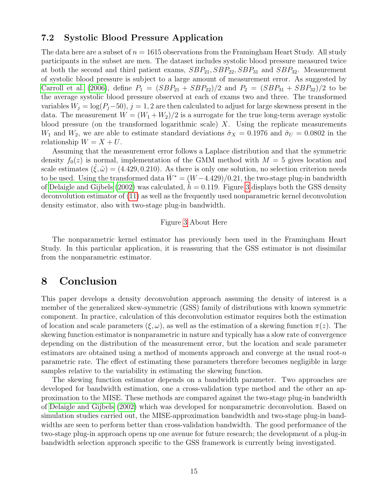### 7.2 Systolic Blood Pressure Application

The data here are a subset of  $n = 1615$  observations from the Framingham Heart Study. All study participants in the subset are men. The dataset includes systolic blood pressure measured twice at both the second and third patient exams,  $SBP_{21}$ ,  $SBP_{22}$ ,  $SBP_{31}$  and  $SBP_{32}$ . Measurement of systolic blood pressure is subject to a large amount of measurement error. As suggested by [Carroll et al.](#page-15-10) [\(2006\)](#page-15-10), define  $P_1 = (SBP_{21} + SBP_{22})/2$  and  $P_2 = (SBP_{31} + SBP_{32})/2$  to be the average systolic blood pressure observed at each of exams two and three. The transformed variables  $W_j = \log(P_j - 50)$ ,  $j = 1, 2$  are then calculated to adjust for large skewness present in the data. The measurement  $W = (W_1 + W_2)/2$  is a surrogate for the true long-term average systolic blood pressure (on the transformed logarithmic scale)  $X$ . Using the replicate measurements  $W_1$  and  $W_2$ , we are able to estimate standard deviations  $\hat{\sigma}_X = 0.1976$  and  $\hat{\sigma}_U = 0.0802$  in the relationship  $W = X + U$ .

Assuming that the measurement error follows a Laplace distribution and that the symmetric density  $f_0(z)$  is normal, implementation of the GMM method with  $M = 5$  gives location and scale estimates  $(\xi, \hat{\omega}) = (4.429, 0.210)$ . As there is only one solution, no selection criterion needs to be used. Using the transformed data  $W^* = (W - 4.429)/0.21$ , the two-stage plug-in bandwidth of [Delaigle and Gijbels](#page-15-1) [\(2002\)](#page-15-1) was calculated,  $h = 0.119$ . Figure [3](#page-18-1) displays both the GSS density deconvolution estimator of [\(11\)](#page-4-2) as well as the frequently used nonparametric kernel deconvolution density estimator, also with two-stage plug-in bandwidth.

#### Figure [3](#page-18-1) About Here

The nonparametric kernel estimator has previously been used in the Framingham Heart Study. In this particular application, it is reassuring that the GSS estimator is not dissimilar from the nonparametric estimator.

### 8 Conclusion

This paper develops a density deconvolution approach assuming the density of interest is a member of the generalized skew-symmetric (GSS) family of distributions with known symmetric component. In practice, calculation of this deconvolution estimator requires both the estimation of location and scale parameters  $(\xi, \omega)$ , as well as the estimation of a skewing function  $\pi(z)$ . The skewing function estimator is nonparametric in nature and typically has a slow rate of convergence depending on the distribution of the measurement error, but the location and scale parameter estimators are obtained using a method of moments approach and converge at the usual root- $n$ parametric rate. The effect of estimating these parameters therefore becomes negligible in large samples relative to the variability in estimating the skewing function.

The skewing function estimator depends on a bandwidth parameter. Two approaches are developed for bandwidth estimation, one a cross-validation type method and the other an approximation to the MISE. These methods are compared against the two-stage plug-in bandwidth of [Delaigle and Gijbels](#page-15-1) [\(2002\)](#page-15-1) which was developed for nonparametric deconvolution. Based on simulation studies carried out, the MISE-approximation bandwidth and two-stage plug-in bandwidths are seen to perform better than cross-validation bandwidth. The good performance of the two-stage plug-in approach opens up one avenue for future research; the development of a plug-in bandwidth selection approach specific to the GSS framework is currently being investigated.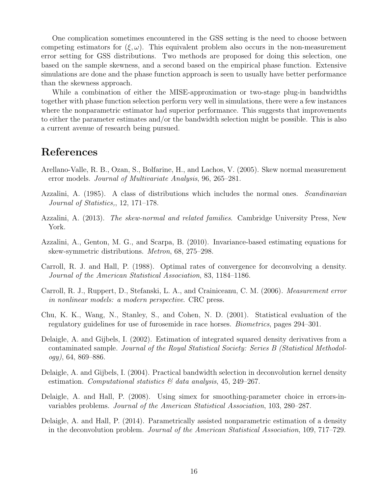One complication sometimes encountered in the GSS setting is the need to choose between competing estimators for  $(\xi, \omega)$ . This equivalent problem also occurs in the non-measurement error setting for GSS distributions. Two methods are proposed for doing this selection, one based on the sample skewness, and a second based on the empirical phase function. Extensive simulations are done and the phase function approach is seen to usually have better performance than the skewness approach.

While a combination of either the MISE-approximation or two-stage plug-in bandwidths together with phase function selection perform very well in simulations, there were a few instances where the nonparametric estimator had superior performance. This suggests that improvements to either the parameter estimates and/or the bandwidth selection might be possible. This is also a current avenue of research being pursued.

## References

- <span id="page-15-8"></span>Arellano-Valle, R. B., Ozan, S., Bolfarine, H., and Lachos, V. (2005). Skew normal measurement error models. Journal of Multivariate Analysis, 96, 265–281.
- <span id="page-15-5"></span>Azzalini, A. (1985). A class of distributions which includes the normal ones. Scandinavian Journal of Statistics,, 12, 171–178.
- <span id="page-15-6"></span>Azzalini, A. (2013). The skew-normal and related families. Cambridge University Press, New York.
- <span id="page-15-9"></span>Azzalini, A., Genton, M. G., and Scarpa, B. (2010). Invariance-based estimating equations for skew-symmetric distributions. Metron, 68, 275–298.
- <span id="page-15-0"></span>Carroll, R. J. and Hall, P. (1988). Optimal rates of convergence for deconvolving a density. Journal of the American Statistical Association, 83, 1184–1186.
- <span id="page-15-10"></span>Carroll, R. J., Ruppert, D., Stefanski, L. A., and Crainiceanu, C. M. (2006). Measurement error in nonlinear models: a modern perspective. CRC press.
- <span id="page-15-7"></span>Chu, K. K., Wang, N., Stanley, S., and Cohen, N. D. (2001). Statistical evaluation of the regulatory guidelines for use of furosemide in race horses. Biometrics, pages 294–301.
- <span id="page-15-1"></span>Delaigle, A. and Gijbels, I. (2002). Estimation of integrated squared density derivatives from a contaminated sample. Journal of the Royal Statistical Society: Series B (Statistical Methodol $ogy)$ , 64, 869–886.
- <span id="page-15-2"></span>Delaigle, A. and Gijbels, I. (2004). Practical bandwidth selection in deconvolution kernel density estimation. Computational statistics  $\mathcal{C}$  data analysis, 45, 249–267.
- <span id="page-15-3"></span>Delaigle, A. and Hall, P. (2008). Using simex for smoothing-parameter choice in errors-invariables problems. Journal of the American Statistical Association, 103, 280–287.
- <span id="page-15-4"></span>Delaigle, A. and Hall, P. (2014). Parametrically assisted nonparametric estimation of a density in the deconvolution problem. Journal of the American Statistical Association, 109, 717–729.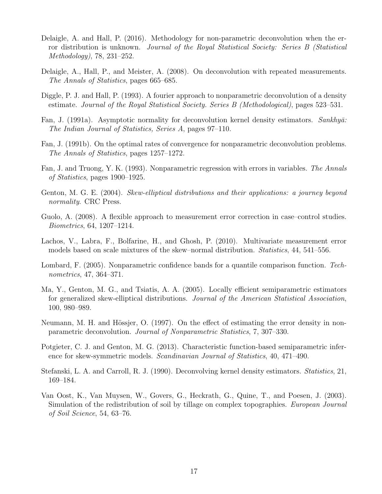- <span id="page-16-7"></span>Delaigle, A. and Hall, P. (2016). Methodology for non-parametric deconvolution when the error distribution is unknown. Journal of the Royal Statistical Society: Series B (Statistical Methodology), 78, 231–252.
- <span id="page-16-6"></span>Delaigle, A., Hall, P., and Meister, A. (2008). On deconvolution with repeated measurements. The Annals of Statistics, pages 665–685.
- <span id="page-16-4"></span>Diggle, P. J. and Hall, P. (1993). A fourier approach to nonparametric deconvolution of a density estimate. Journal of the Royal Statistical Society. Series B (Methodological), pages 523–531.
- <span id="page-16-1"></span>Fan, J. (1991a). Asymptotic normality for deconvolution kernel density estimators. Sankhyā: The Indian Journal of Statistics, Series A, pages 97–110.
- <span id="page-16-2"></span>Fan, J. (1991b). On the optimal rates of convergence for nonparametric deconvolution problems. The Annals of Statistics, pages 1257–1272.
- <span id="page-16-3"></span>Fan, J. and Truong, Y. K. (1993). Nonparametric regression with errors in variables. The Annals of Statistics, pages 1900–1925.
- <span id="page-16-8"></span>Genton, M. G. E. (2004). Skew-elliptical distributions and their applications: a journey beyond normality. CRC Press.
- <span id="page-16-10"></span>Guolo, A. (2008). A flexible approach to measurement error correction in case–control studies. Biometrics, 64, 1207–1214.
- <span id="page-16-11"></span>Lachos, V., Labra, F., Bolfarine, H., and Ghosh, P. (2010). Multivariate measurement error models based on scale mixtures of the skew–normal distribution. Statistics, 44, 541–556.
- <span id="page-16-14"></span>Lombard, F. (2005). Nonparametric confidence bands for a quantile comparison function. Technometrics, 47, 364–371.
- <span id="page-16-12"></span>Ma, Y., Genton, M. G., and Tsiatis, A. A. (2005). Locally efficient semiparametric estimators for generalized skew-elliptical distributions. Journal of the American Statistical Association, 100, 980–989.
- <span id="page-16-5"></span>Neumann, M. H. and Hössjer, O. (1997). On the effect of estimating the error density in nonparametric deconvolution. Journal of Nonparametric Statistics, 7, 307–330.
- <span id="page-16-13"></span>Potgieter, C. J. and Genton, M. G. (2013). Characteristic function-based semiparametric inference for skew-symmetric models. Scandinavian Journal of Statistics, 40, 471–490.
- <span id="page-16-0"></span>Stefanski, L. A. and Carroll, R. J. (1990). Deconvolving kernel density estimators. Statistics, 21, 169–184.
- <span id="page-16-9"></span>Van Oost, K., Van Muysen, W., Govers, G., Heckrath, G., Quine, T., and Poesen, J. (2003). Simulation of the redistribution of soil by tillage on complex topographies. European Journal of Soil Science, 54, 63–76.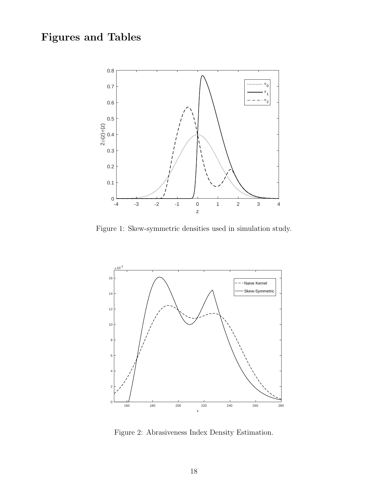# Figures and Tables



<span id="page-17-0"></span>Figure 1: Skew-symmetric densities used in simulation study.



<span id="page-17-1"></span>Figure 2: Abrasiveness Index Density Estimation.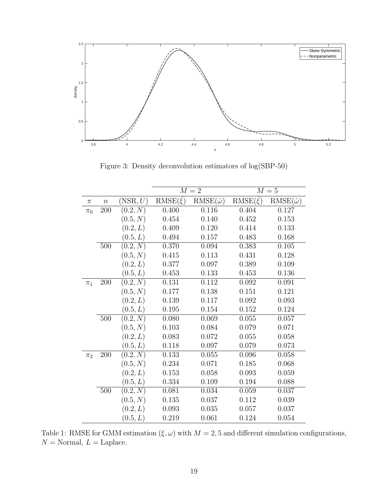

<span id="page-18-1"></span>Figure 3: Density deconvolution estimators of log(SBP-50)

|         |       |                    | $M=2$             |                      | $M=5$             |                      |
|---------|-------|--------------------|-------------------|----------------------|-------------------|----------------------|
| $\pi$   | $\,n$ | $(\mathrm{NSR},U)$ | $RMSE(\hat{\xi})$ | $RMSE(\hat{\omega})$ | $RMSE(\hat{\xi})$ | $RMSE(\hat{\omega})$ |
| $\pi_0$ | 200   | (0.2, N)           | 0.400             | 0.116                | 0.404             | 0.127                |
|         |       | (0.5, N)           | 0.454             | 0.140                | 0.452             | 0.153                |
|         |       | (0.2, L)           | 0.409             | 0.120                | 0.414             | 0.133                |
|         |       | (0.5, L)           | 0.494             | 0.157                | 0.483             | 0.168                |
|         | 500   | (0.2, N)           | 0.370             | 0.094                | 0.383             | 0.105                |
|         |       | (0.5, N)           | 0.415             | 0.113                | 0.431             | 0.128                |
|         |       | (0.2, L)           | 0.377             | 0.097                | 0.389             | 0.109                |
|         |       | (0.5, L)           | $0.453\,$         | 0.133                | 0.453             | 0.136                |
| $\pi_1$ | 200   | (0.2, N)           | 0.131             | 0.112                | 0.092             | 0.091                |
|         |       | (0.5, N)           | 0.177             | 0.138                | 0.151             | 0.121                |
|         |       | (0.2, L)           | 0.139             | 0.117                | 0.092             | 0.093                |
|         |       | (0.5, L)           | 0.195             | 0.154                | 0.152             | 0.124                |
|         | 500   | (0.2, N)           | 0.080             | 0.069                | 0.055             | 0.057                |
|         |       | (0.5, N)           | 0.103             | 0.084                | 0.079             | 0.071                |
|         |       | (0.2, L)           | 0.083             | 0.072                | 0.055             | 0.058                |
|         |       | (0.5,L)            | 0.118             | 0.097                | 0.079             | 0.073                |
| $\pi_2$ | 200   | (0.2, N)           | 0.133             | 0.055                | 0.096             | 0.058                |
|         |       | (0.5, N)           | 0.234             | 0.071                | 0.185             | 0.068                |
|         |       | (0.2, L)           | 0.153             | 0.058                | 0.093             | 0.059                |
|         |       | (0.5, L)           | 0.334             | 0.109                | 0.194             | 0.088                |
|         | 500   | (0.2,N)            | 0.081             | 0.034                | 0.059             | 0.037                |
|         |       | (0.5, N)           | 0.135             | 0.037                | 0.112             | 0.039                |
|         |       | (0.2, L)           | 0.093             | 0.035                | 0.057             | 0.037                |
|         |       | (0.5, L)           | 0.219             | 0.061                | 0.124             | 0.054                |

<span id="page-18-0"></span>Table 1: RMSE for GMM estimation  $(\xi, \omega)$  with  $M = 2, 5$  and different simulation configurations,  $N =$  Normal,  $L =$  Laplace.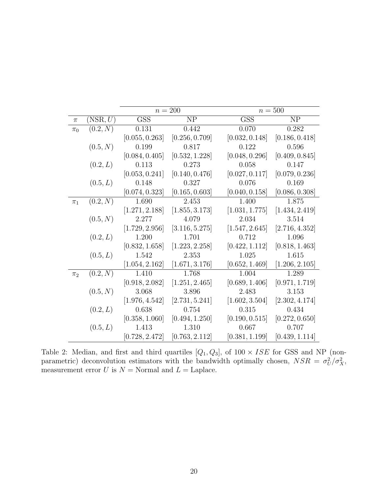|         |          | $n=200$        |                |                | $n = 500$      |  |  |
|---------|----------|----------------|----------------|----------------|----------------|--|--|
| $\pi$   | (NSR, U) | <b>GSS</b>     | <b>NP</b>      | <b>GSS</b>     | NP             |  |  |
| $\pi_0$ | (0.2, N) | 0.131          | 0.442          | 0.070          | 0.282          |  |  |
|         |          | [0.055, 0.263] | [0.256, 0.709] | [0.032, 0.148] | [0.186, 0.418] |  |  |
|         | (0.5, N) | 0.199          | 0.817          | 0.122          | 0.596          |  |  |
|         |          | [0.084, 0.405] | [0.532, 1.228] | [0.048, 0.296] | [0.409, 0.845] |  |  |
|         | (0.2, L) | 0.113          | 0.273          | 0.058          | 0.147          |  |  |
|         |          | [0.053, 0.241] | [0.140, 0.476] | [0.027, 0.117] | [0.079, 0.236] |  |  |
|         | (0.5, L) | 0.148          | 0.327          | 0.076          | 0.169          |  |  |
|         |          | [0.074, 0.323] | [0.165, 0.603] | [0.040, 0.158] | [0.086, 0.308] |  |  |
| $\pi_1$ | (0.2, N) | 1.690          | 2.453          | 1.400          | 1.875          |  |  |
|         |          | [1.271, 2.188] | [1.855, 3.173] | [1.031, 1.775] | [1.434, 2.419] |  |  |
|         | (0.5, N) | 2.277          | 4.079          | 2.034          | 3.514          |  |  |
|         |          | [1.729, 2.956] | [3.116, 5.275] | [1.547, 2.645] | [2.716, 4.352] |  |  |
|         | (0.2, L) | 1.200          | 1.701          | 0.712          | 1.096          |  |  |
|         |          | [0.832, 1.658] | [1.223, 2.258] | [0.422, 1.112] | [0.818, 1.463] |  |  |
|         | (0.5, L) | 1.542          | 2.353          | 1.025          | 1.615          |  |  |
|         |          | [1.054, 2.162] | [1.671, 3.176] | [0.652, 1.469] | [1.206, 2.105] |  |  |
| $\pi_2$ | (0.2, N) | 1.410          | 1.768          | 1.004          | 1.289          |  |  |
|         |          | [0.918, 2.082] | [1.251, 2.465] | [0.689, 1.406] | [0.971, 1.719] |  |  |
|         | (0.5, N) | 3.068          | 3.896          | 2.483          | 3.153          |  |  |
|         |          | [1.976, 4.542] | [2.731, 5.241] | [1.602, 3.504] | [2.302, 4.174] |  |  |
|         | (0.2, L) | 0.638          | 0.754          | 0.315          | 0.434          |  |  |
|         |          | [0.358, 1.060] | [0.494, 1.250] | [0.190, 0.515] | [0.272, 0.650] |  |  |
|         | (0.5, L) | 1.413          | 1.310          | 0.667          | 0.707          |  |  |
|         |          | [0.728, 2.472] | [0.763, 2.112] | [0.381, 1.199] | [0.439, 1.114] |  |  |

<span id="page-19-0"></span>Table 2: Median, and first and third quartiles  $[Q_1, Q_3]$ , of  $100 \times ISE$  for GSS and NP (nonparametric) deconvolution estimators with the bandwidth optimally chosen,  $NSR = \sigma_U^2/\sigma_X^2$ , measurement error  $U$  is  $N =$  Normal and  $L =$  Laplace.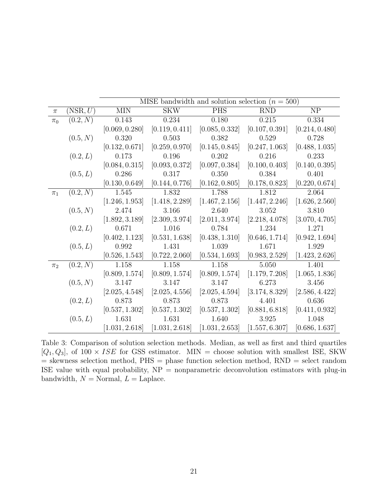|         |                    | MISE bandwidth and solution selection $(n = 500)$ |                |                |                |                |
|---------|--------------------|---------------------------------------------------|----------------|----------------|----------------|----------------|
| $\pi$   | $(\mathrm{NSR},U)$ | <b>MIN</b>                                        | <b>SKW</b>     | <b>PHS</b>     | <b>RND</b>     | NP             |
| $\pi_0$ | (0.2, N)           | 0.143                                             | 0.234          | 0.180          | 0.215          | 0.334          |
|         |                    | [0.069, 0.280]                                    | [0.119, 0.411] | [0.085, 0.332] | [0.107, 0.391] | [0.214, 0.480] |
|         | (0.5, N)           | 0.320                                             | 0.503          | 0.382          | 0.529          | 0.728          |
|         |                    | [0.132, 0.671]                                    | [0.259, 0.970] | [0.145, 0.845] | [0.247, 1.063] | [0.488, 1.035] |
|         | (0.2, L)           | 0.173                                             | 0.196          | 0.202          | 0.216          | 0.233          |
|         |                    | [0.084, 0.315]                                    | [0.093, 0.372] | [0.097, 0.384] | [0.100, 0.403] | [0.140, 0.395] |
|         | (0.5, L)           | 0.286                                             | 0.317          | 0.350          | 0.384          | 0.401          |
|         |                    | [0.130, 0.649]                                    | [0.144, 0.776] | [0.162, 0.805] | [0.178, 0.823] | [0.220, 0.674] |
| $\pi_1$ | (0.2, N)           | 1.545                                             | 1.832          | 1.788          | 1.812          | 2.064          |
|         |                    | [1.246, 1.953]                                    | [1.418, 2.289] | [1.467, 2.156] | [1.447, 2.246] | [1.626, 2.560] |
|         | (0.5, N)           | 2.474                                             | 3.166          | 2.640          | 3.052          | 3.810          |
|         |                    | [1.892, 3.189]                                    | [2.309, 3.974] | [2.011, 3.974] | [2.218, 4.078] | [3.070, 4.705] |
|         | (0.2, L)           | 0.671                                             | 1.016          | 0.784          | 1.234          | 1.271          |
|         |                    | [0.402, 1.123]                                    | [0.531, 1.638] | [0.438, 1.310] | [0.646, 1.714] | [0.942, 1.694] |
|         | (0.5, L)           | $0.992\,$                                         | 1.431          | 1.039          | 1.671          | 1.929          |
|         |                    | [0.526, 1.543]                                    | [0.722, 2.060] | [0.534, 1.693] | [0.983, 2.529] | [1.423, 2.626] |
| $\pi_2$ | (0.2, N)           | 1.158                                             | 1.158          | 1.158          | 5.050          | 1.401          |
|         |                    | [0.809, 1.574]                                    | [0.809, 1.574] | [0.809, 1.574] | [1.179, 7.208] | [1.065, 1.836] |
|         | (0.5, N)           | 3.147                                             | 3.147          | 3.147          | 6.273          | 3.456          |
|         |                    | [2.025, 4.548]                                    | [2.025, 4.556] | [2.025, 4.594] | [3.174, 8.329] | [2.586, 4.422] |
|         | (0.2, L)           | 0.873                                             | 0.873          | 0.873          | 4.401          | 0.636          |
|         |                    | [0.537, 1.302]                                    | [0.537, 1.302] | [0.537, 1.302] | [0.881, 6.818] | [0.411, 0.932] |
|         | (0.5, L)           | 1.631                                             | 1.631          | 1.640          | 3.925          | 1.048          |
|         |                    | [1.031, 2.618]                                    | [1.031, 2.618] | [1.031, 2.653] | [1.557, 6.307] | [0.686, 1.637] |

<span id="page-20-0"></span>Table 3: Comparison of solution selection methods. Median, as well as first and third quartiles  $[Q_1, Q_3]$ , of  $100 \times ISE$  for GSS estimator. MIN = choose solution with smallest ISE, SKW = skewness selection method, PHS = phase function selection method, RND = select random ISE value with equal probability,  $NP = nonparametric deconvolution$  estimators with plug-in bandwidth,  $N =$  Normal,  $L =$  Laplace.